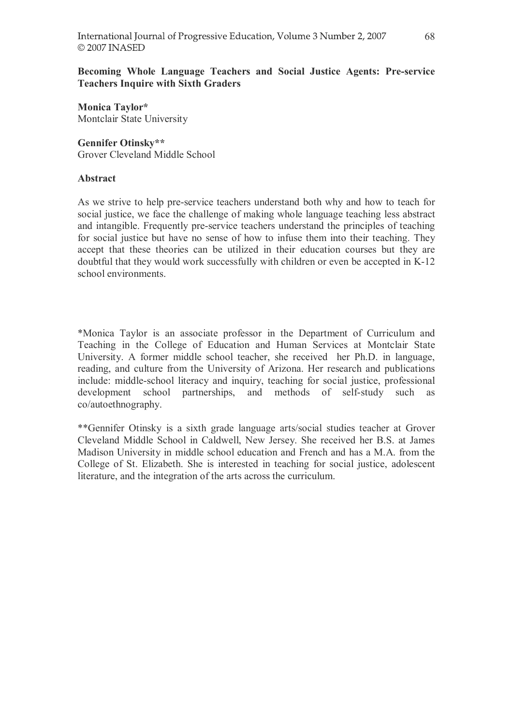# Becoming Whole Language Teachers and Social Justice Agents: Pre-service Teachers Inquire with Sixth Graders

Monica Taylor\* Montclair State University

# Gennifer Otinsky\*\*

Grover Cleveland Middle School

# Abstract

As we strive to help pre-service teachers understand both why and how to teach for social justice, we face the challenge of making whole language teaching less abstract and intangible. Frequently pre-service teachers understand the principles of teaching for social justice but have no sense of how to infuse them into their teaching. They accept that these theories can be utilized in their education courses but they are doubtful that they would work successfully with children or even be accepted in K-12 school environments.

\*Monica Taylor is an associate professor in the Department of Curriculum and Teaching in the College of Education and Human Services at Montclair State University. A former middle school teacher, she received her Ph.D. in language, reading, and culture from the University of Arizona. Her research and publications include: middle-school literacy and inquiry, teaching for social justice, professional school partnerships, and methods of self-study such as co/autoethnography.

\*\*Gennifer Otinsky is a sixth grade language arts/social studies teacher at Grover Cleveland Middle School in Caldwell, New Jersey. She received her B.S. at James Madison University in middle school education and French and has a M.A. from the College of St. Elizabeth. She is interested in teaching for social justice, adolescent literature, and the integration of the arts across the curriculum.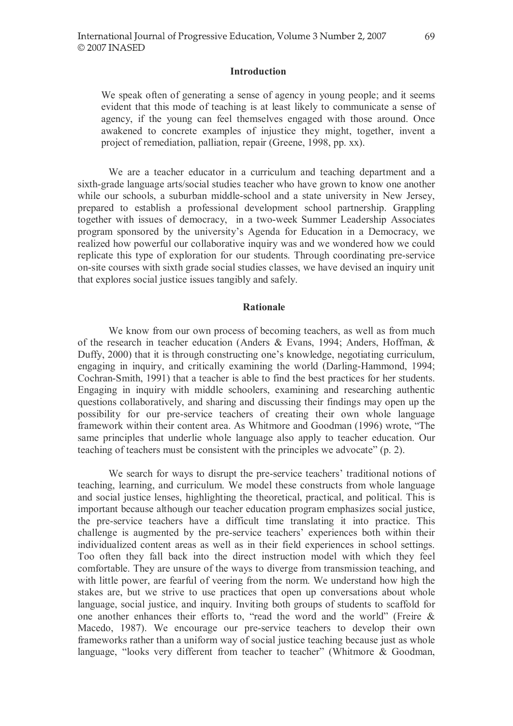We speak often of generating a sense of agency in young people; and it seems evident that this mode of teaching is at least likely to communicate a sense of agency, if the young can feel themselves engaged with those around. Once awakened to concrete examples of injustice they might, together, invent a project of remediation, palliation, repair (Greene, 1998, pp. xx).

We are a teacher educator in a curriculum and teaching department and a sixth-grade language arts/social studies teacher who have grown to know one another while our schools, a suburban middle-school and a state university in New Jersey, prepared to establish a professional development school partnership. Grappling together with issues of democracy, in a two-week Summer Leadership Associates program sponsored by the university's Agenda for Education in a Democracy, we realized how powerful our collaborative inquiry was and we wondered how we could replicate this type of exploration for our students. Through coordinating pre-service on-site courses with sixth grade social studies classes, we have devised an inquiry unit that explores social justice issues tangibly and safely.

### Rationale

We know from our own process of becoming teachers, as well as from much of the research in teacher education (Anders & Evans, 1994; Anders, Hoffman, & Duffy, 2000) that it is through constructing one's knowledge, negotiating curriculum, engaging in inquiry, and critically examining the world (Darling-Hammond, 1994; Cochran-Smith, 1991) that a teacher is able to find the best practices for her students. Engaging in inquiry with middle schoolers, examining and researching authentic questions collaboratively, and sharing and discussing their findings may open up the possibility for our pre-service teachers of creating their own whole language framework within their content area. As Whitmore and Goodman (1996) wrote, "The same principles that underlie whole language also apply to teacher education. Our teaching of teachers must be consistent with the principles we advocate"  $(p, 2)$ .

We search for ways to disrupt the pre-service teachers' traditional notions of teaching, learning, and curriculum. We model these constructs from whole language and social justice lenses, highlighting the theoretical, practical, and political. This is important because although our teacher education program emphasizes social justice, the pre-service teachers have a difficult time translating it into practice. This challenge is augmented by the pre-service teachers' experiences both within their individualized content areas as well as in their field experiences in school settings. Too often they fall back into the direct instruction model with which they feel comfortable. They are unsure of the ways to diverge from transmission teaching, and with little power, are fearful of veering from the norm. We understand how high the stakes are, but we strive to use practices that open up conversations about whole language, social justice, and inquiry. Inviting both groups of students to scaffold for one another enhances their efforts to, "read the word and the world" (Freire  $\&$ Macedo, 1987). We encourage our pre-service teachers to develop their own frameworks rather than a uniform way of social justice teaching because just as whole language, "looks very different from teacher to teacher" (Whitmore  $\&$  Goodman,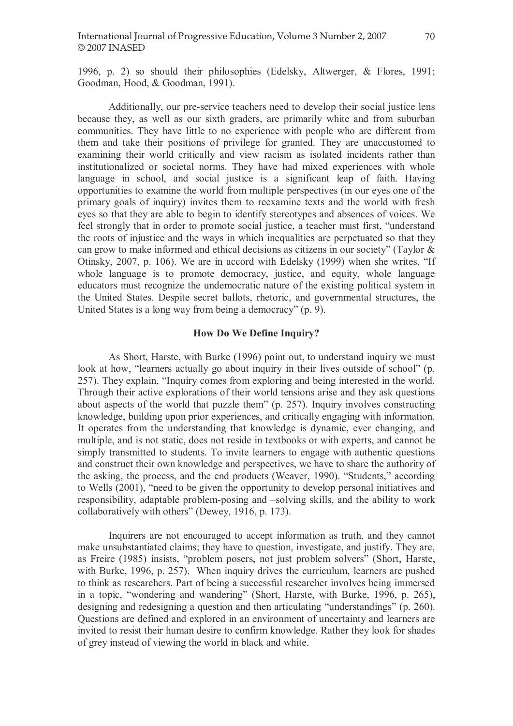1996, p. 2) so should their philosophies (Edelsky, Altwerger, & Flores, 1991; Goodman, Hood, & Goodman, 1991).

Additionally, our pre-service teachers need to develop their social justice lens because they, as well as our sixth graders, are primarily white and from suburban communities. They have little to no experience with people who are different from them and take their positions of privilege for granted. They are unaccustomed to examining their world critically and view racism as isolated incidents rather than institutionalized or societal norms. They have had mixed experiences with whole language in school, and social justice is a significant leap of faith. Having opportunities to examine the world from multiple perspectives (in our eyes one of the primary goals of inquiry) invites them to reexamine texts and the world with fresh eyes so that they are able to begin to identify stereotypes and absences of voices. We feel strongly that in order to promote social justice, a teacher must first, "understand the roots of injustice and the ways in which inequalities are perpetuated so that they can grow to make informed and ethical decisions as citizens in our society" (Taylor  $\&$ Otinsky, 2007, p. 106). We are in accord with Edelsky (1999) when she writes, "If whole language is to promote democracy, justice, and equity, whole language educators must recognize the undemocratic nature of the existing political system in the United States. Despite secret ballots, rhetoric, and governmental structures, the United States is a long way from being a democracy" (p. 9).

#### How Do We Define Inquiry?

As Short, Harste, with Burke (1996) point out, to understand inquiry we must look at how, "learners actually go about inquiry in their lives outside of school" (p. 257). They explain, "Inquiry comes from exploring and being interested in the world. Through their active explorations of their world tensions arise and they ask questions about aspects of the world that puzzle them<sup>"</sup> (p. 257). Inquiry involves constructing knowledge, building upon prior experiences, and critically engaging with information. It operates from the understanding that knowledge is dynamic, ever changing, and multiple, and is not static, does not reside in textbooks or with experts, and cannot be simply transmitted to students. To invite learners to engage with authentic questions and construct their own knowledge and perspectives, we have to share the authority of the asking, the process, and the end products (Weaver, 1990). "Students," according to Wells (2001), "need to be given the opportunity to develop personal initiatives and responsibility, adaptable problem-posing and -solving skills, and the ability to work collaboratively with others" (Dewey, 1916, p. 173).

Inquirers are not encouraged to accept information as truth, and they cannot make unsubstantiated claims; they have to question, investigate, and justify. They are, as Freire (1985) insists, "problem posers, not just problem solvers" (Short, Harste, with Burke, 1996, p. 257). When inquiry drives the curriculum, learners are pushed to think as researchers. Part of being a successful researcher involves being immersed in a topic, "wondering and wandering" (Short, Harste, with Burke, 1996, p. 265), designing and redesigning a question and then articulating "understandings" (p. 260). Questions are defined and explored in an environment of uncertainty and learners are invited to resist their human desire to confirm knowledge. Rather they look for shades of grey instead of viewing the world in black and white.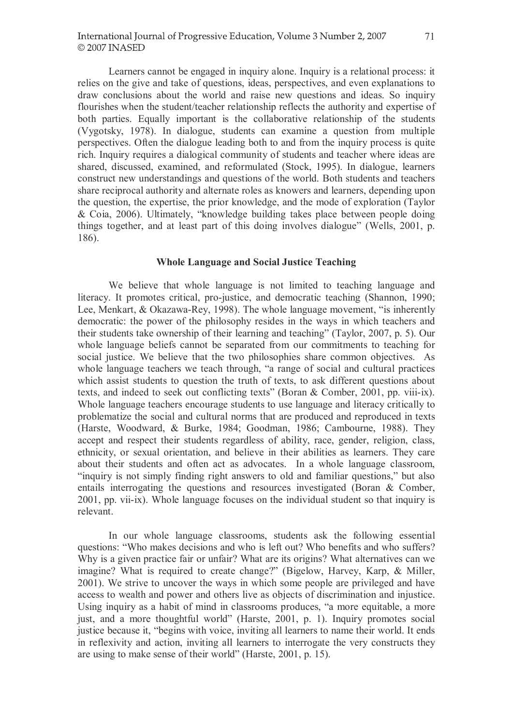Learners cannot be engaged in inquiry alone. Inquiry is a relational process: it relies on the give and take of questions, ideas, perspectives, and even explanations to draw conclusions about the world and raise new questions and ideas. So inquiry flourishes when the student/teacher relationship reflects the authority and expertise of both parties. Equally important is the collaborative relationship of the students (Vygotsky, 1978). In dialogue, students can examine a question from multiple perspectives. Often the dialogue leading both to and from the inquiry process is quite rich. Inquiry requires a dialogical community of students and teacher where ideas are shared, discussed, examined, and reformulated (Stock, 1995). In dialogue, learners construct new understandings and questions of the world. Both students and teachers share reciprocal authority and alternate roles as knowers and learners, depending upon the question, the expertise, the prior knowledge, and the mode of exploration (Taylor  $& Coia, 2006$ . Ultimately, "knowledge building takes place between people doing things together, and at least part of this doing involves dialogue" (Wells, 2001, p. 186).

#### Whole Language and Social Justice Teaching

We believe that whole language is not limited to teaching language and literacy. It promotes critical, pro-justice, and democratic teaching (Shannon, 1990; Lee, Menkart,  $& Okazawa-Rey, 1998$ . The whole language movement, "is inherently democratic: the power of the philosophy resides in the ways in which teachers and their students take ownership of their learning and teaching" (Taylor, 2007, p. 5). Our whole language beliefs cannot be separated from our commitments to teaching for social justice. We believe that the two philosophies share common objectives. As whole language teachers we teach through, "a range of social and cultural practices which assist students to question the truth of texts, to ask different questions about texts, and indeed to seek out conflicting texts´ (Boran & Comber, 2001, pp. viii-ix). Whole language teachers encourage students to use language and literacy critically to problematize the social and cultural norms that are produced and reproduced in texts (Harste, Woodward, & Burke, 1984; Goodman, 1986; Cambourne, 1988). They accept and respect their students regardless of ability, race, gender, religion, class, ethnicity, or sexual orientation, and believe in their abilities as learners. They care about their students and often act as advocates. In a whole language classroom, "inquiry is not simply finding right answers to old and familiar questions," but also entails interrogating the questions and resources investigated (Boran & Comber, 2001, pp. vii-ix). Whole language focuses on the individual student so that inquiry is relevant.

In our whole language classrooms, students ask the following essential questions: "Who makes decisions and who is left out? Who benefits and who suffers? Why is a given practice fair or unfair? What are its origins? What alternatives can we imagine? What is required to create change?" (Bigelow, Harvey, Karp, & Miller, 2001). We strive to uncover the ways in which some people are privileged and have access to wealth and power and others live as objects of discrimination and injustice. Using inquiry as a habit of mind in classrooms produces, "a more equitable, a more just, and a more thoughtful world" (Harste, 2001, p. 1). Inquiry promotes social justice because it, "begins with voice, inviting all learners to name their world. It ends in reflexivity and action, inviting all learners to interrogate the very constructs they are using to make sense of their world" (Harste, 2001, p. 15).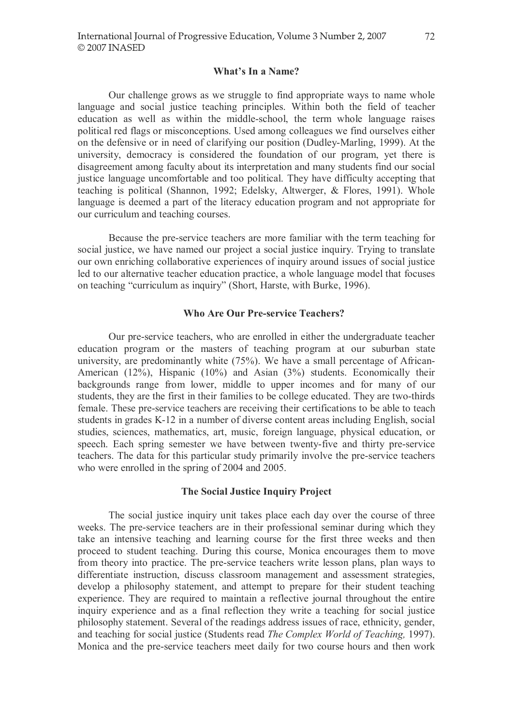## What's In a Name?

Our challenge grows as we struggle to find appropriate ways to name whole language and social justice teaching principles. Within both the field of teacher education as well as within the middle-school, the term whole language raises political red flags or misconceptions. Used among colleagues we find ourselves either on the defensive or in need of clarifying our position (Dudley-Marling, 1999). At the university, democracy is considered the foundation of our program, yet there is disagreement among faculty about its interpretation and many students find our social justice language uncomfortable and too political. They have difficulty accepting that teaching is political (Shannon, 1992; Edelsky, Altwerger, & Flores, 1991). Whole language is deemed a part of the literacy education program and not appropriate for our curriculum and teaching courses.

Because the pre-service teachers are more familiar with the term teaching for social justice, we have named our project a social justice inquiry. Trying to translate our own enriching collaborative experiences of inquiry around issues of social justice led to our alternative teacher education practice, a whole language model that focuses on teaching "curriculum as inquiry" (Short, Harste, with Burke, 1996).

## Who Are Our Pre-service Teachers?

Our pre-service teachers, who are enrolled in either the undergraduate teacher education program or the masters of teaching program at our suburban state university, are predominantly white (75%). We have a small percentage of African-American (12%), Hispanic (10%) and Asian (3%) students. Economically their backgrounds range from lower, middle to upper incomes and for many of our students, they are the first in their families to be college educated. They are two-thirds female. These pre-service teachers are receiving their certifications to be able to teach students in grades K-12 in a number of diverse content areas including English, social studies, sciences, mathematics, art, music, foreign language, physical education, or speech. Each spring semester we have between twenty-five and thirty pre-service teachers. The data for this particular study primarily involve the pre-service teachers who were enrolled in the spring of 2004 and 2005.

### The Social Justice Inquiry Project

The social justice inquiry unit takes place each day over the course of three weeks. The pre-service teachers are in their professional seminar during which they take an intensive teaching and learning course for the first three weeks and then proceed to student teaching. During this course, Monica encourages them to move from theory into practice. The pre-service teachers write lesson plans, plan ways to differentiate instruction, discuss classroom management and assessment strategies, develop a philosophy statement, and attempt to prepare for their student teaching experience. They are required to maintain a reflective journal throughout the entire inquiry experience and as a final reflection they write a teaching for social justice philosophy statement. Several of the readings address issues of race, ethnicity, gender, and teaching for social justice (Students read The Complex World of Teaching, 1997). Monica and the pre-service teachers meet daily for two course hours and then work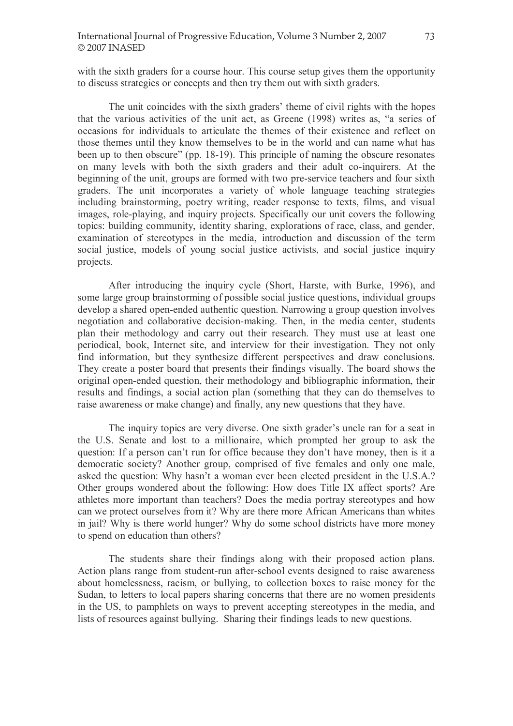with the sixth graders for a course hour. This course setup gives them the opportunity to discuss strategies or concepts and then try them out with sixth graders.

The unit coincides with the sixth graders' theme of civil rights with the hopes that the various activities of the unit act, as Greene (1998) writes as, "a series of occasions for individuals to articulate the themes of their existence and reflect on those themes until they know themselves to be in the world and can name what has been up to then obscure" (pp. 18-19). This principle of naming the obscure resonates on many levels with both the sixth graders and their adult co-inquirers. At the beginning of the unit, groups are formed with two pre-service teachers and four sixth graders. The unit incorporates a variety of whole language teaching strategies including brainstorming, poetry writing, reader response to texts, films, and visual images, role-playing, and inquiry projects. Specifically our unit covers the following topics: building community, identity sharing, explorations of race, class, and gender, examination of stereotypes in the media, introduction and discussion of the term social justice, models of young social justice activists, and social justice inquiry projects.

After introducing the inquiry cycle (Short, Harste, with Burke, 1996), and some large group brainstorming of possible social justice questions, individual groups develop a shared open-ended authentic question. Narrowing a group question involves negotiation and collaborative decision-making. Then, in the media center, students plan their methodology and carry out their research. They must use at least one periodical, book, Internet site, and interview for their investigation. They not only find information, but they synthesize different perspectives and draw conclusions. They create a poster board that presents their findings visually. The board shows the original open-ended question, their methodology and bibliographic information, their results and findings, a social action plan (something that they can do themselves to raise awareness or make change) and finally, any new questions that they have.

The inquiry topics are very diverse. One sixth grader's uncle ran for a seat in the U.S. Senate and lost to a millionaire, which prompted her group to ask the question: If a person can't run for office because they don't have money, then is it a democratic society? Another group, comprised of five females and only one male, asked the question: Why hasn't a woman ever been elected president in the U.S.A.? Other groups wondered about the following: How does Title IX affect sports? Are athletes more important than teachers? Does the media portray stereotypes and how can we protect ourselves from it? Why are there more African Americans than whites in jail? Why is there world hunger? Why do some school districts have more money to spend on education than others?

The students share their findings along with their proposed action plans. Action plans range from student-run after-school events designed to raise awareness about homelessness, racism, or bullying, to collection boxes to raise money for the Sudan, to letters to local papers sharing concerns that there are no women presidents in the US, to pamphlets on ways to prevent accepting stereotypes in the media, and lists of resources against bullying. Sharing their findings leads to new questions.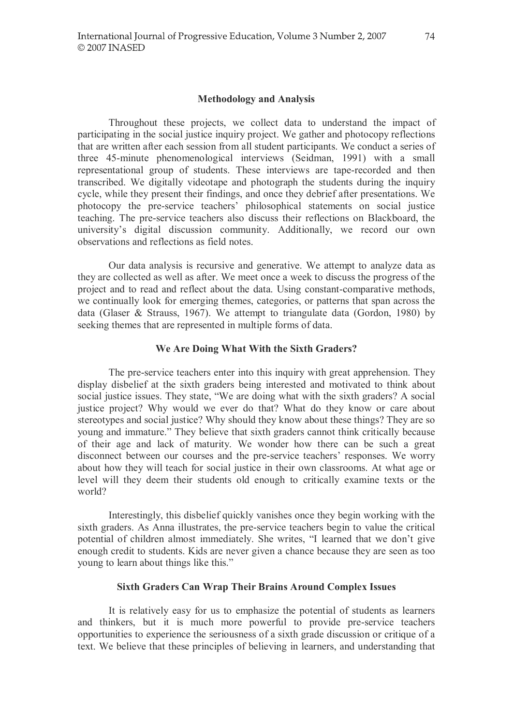### Methodology and Analysis

Throughout these projects, we collect data to understand the impact of participating in the social justice inquiry project. We gather and photocopy reflections that are written after each session from all student participants. We conduct a series of three 45-minute phenomenological interviews (Seidman, 1991) with a small representational group of students. These interviews are tape-recorded and then transcribed. We digitally videotape and photograph the students during the inquiry cycle, while they present their findings, and once they debrief after presentations. We photocopy the pre-service teachers' philosophical statements on social justice teaching. The pre-service teachers also discuss their reflections on Blackboard, the university's digital discussion community. Additionally, we record our own observations and reflections as field notes.

Our data analysis is recursive and generative. We attempt to analyze data as they are collected as well as after. We meet once a week to discuss the progress of the project and to read and reflect about the data. Using constant-comparative methods, we continually look for emerging themes, categories, or patterns that span across the data (Glaser & Strauss, 1967). We attempt to triangulate data (Gordon, 1980) by seeking themes that are represented in multiple forms of data.

#### We Are Doing What With the Sixth Graders?

The pre-service teachers enter into this inquiry with great apprehension. They display disbelief at the sixth graders being interested and motivated to think about social justice issues. They state, "We are doing what with the sixth graders? A social justice project? Why would we ever do that? What do they know or care about stereotypes and social justice? Why should they know about these things? They are so young and immature.<sup>"</sup> They believe that sixth graders cannot think critically because of their age and lack of maturity. We wonder how there can be such a great disconnect between our courses and the pre-service teachers' responses. We worry about how they will teach for social justice in their own classrooms. At what age or level will they deem their students old enough to critically examine texts or the world?

Interestingly, this disbelief quickly vanishes once they begin working with the sixth graders. As Anna illustrates, the pre-service teachers begin to value the critical potential of children almost immediately. She writes, "I learned that we don't give enough credit to students. Kids are never given a chance because they are seen as too young to learn about things like this.´

### Sixth Graders Can Wrap Their Brains Around Complex Issues

It is relatively easy for us to emphasize the potential of students as learners and thinkers, but it is much more powerful to provide pre-service teachers opportunities to experience the seriousness of a sixth grade discussion or critique of a text. We believe that these principles of believing in learners, and understanding that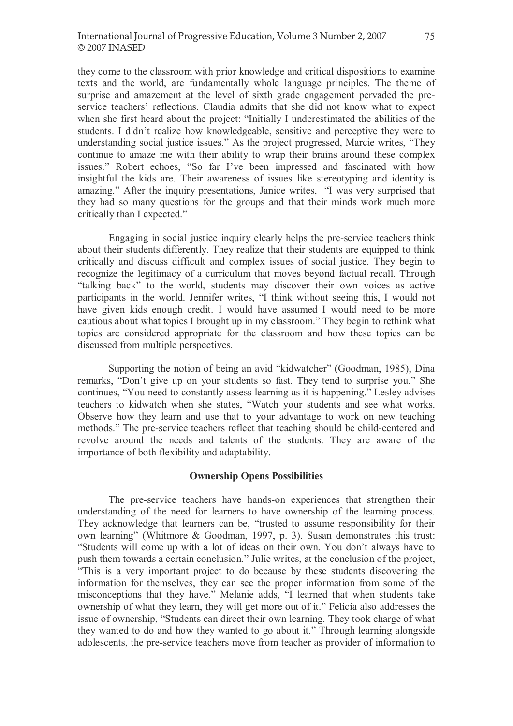they come to the classroom with prior knowledge and critical dispositions to examine texts and the world, are fundamentally whole language principles. The theme of surprise and amazement at the level of sixth grade engagement pervaded the preservice teachers' reflections. Claudia admits that she did not know what to expect when she first heard about the project: "Initially I underestimated the abilities of the students. I didn't realize how knowledgeable, sensitive and perceptive they were to understanding social justice issues." As the project progressed, Marcie writes, "They continue to amaze me with their ability to wrap their brains around these complex issues." Robert echoes, "So far I've been impressed and fascinated with how insightful the kids are. Their awareness of issues like stereotyping and identity is amazing." After the inquiry presentations, Janice writes, "I was very surprised that they had so many questions for the groups and that their minds work much more critically than I expected.´

Engaging in social justice inquiry clearly helps the pre-service teachers think about their students differently. They realize that their students are equipped to think critically and discuss difficult and complex issues of social justice. They begin to recognize the legitimacy of a curriculum that moves beyond factual recall. Through "talking back" to the world, students may discover their own voices as active participants in the world. Jennifer writes, "I think without seeing this, I would not have given kids enough credit. I would have assumed I would need to be more cautious about what topics I brought up in my classroom.<sup>"</sup> They begin to rethink what topics are considered appropriate for the classroom and how these topics can be discussed from multiple perspectives.

Supporting the notion of being an avid "kidwatcher" (Goodman, 1985), Dina remarks, "Don't give up on your students so fast. They tend to surprise you." She continues, "You need to constantly assess learning as it is happening." Lesley advises teachers to kidwatch when she states, "Watch your students and see what works. Observe how they learn and use that to your advantage to work on new teaching methods." The pre-service teachers reflect that teaching should be child-centered and revolve around the needs and talents of the students. They are aware of the importance of both flexibility and adaptability.

## Ownership Opens Possibilities

The pre-service teachers have hands-on experiences that strengthen their understanding of the need for learners to have ownership of the learning process. They acknowledge that learners can be, "trusted to assume responsibility for their own learning" (Whitmore & Goodman, 1997, p. 3). Susan demonstrates this trust: ³Students will come up with a lot of ideas on their own. You don¶t always have to push them towards a certain conclusion.´ Julie writes, at the conclusion of the project, ³This is a very important project to do because by these students discovering the information for themselves, they can see the proper information from some of the misconceptions that they have." Melanie adds, "I learned that when students take ownership of what they learn, they will get more out of it." Felicia also addresses the issue of ownership, "Students can direct their own learning. They took charge of what they wanted to do and how they wanted to go about it." Through learning alongside adolescents, the pre-service teachers move from teacher as provider of information to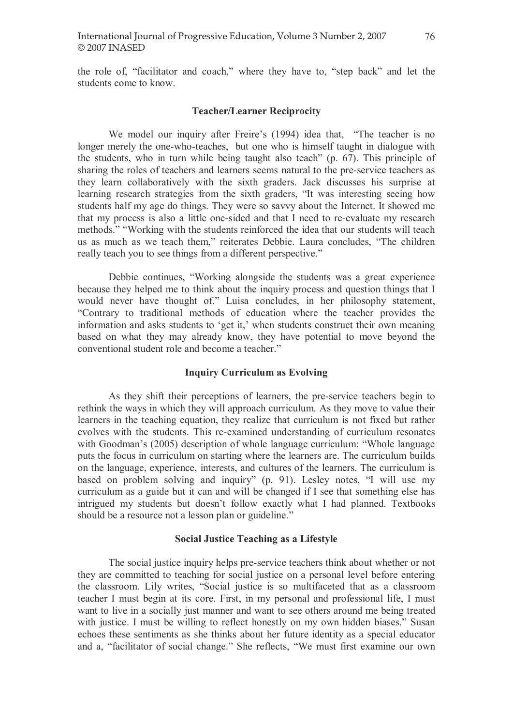the role of, "facilitator and coach," where they have to, "step back" and let the students come to know.

# Teacher/Learner Reciprocity

We model our inquiry after Freire's (1994) idea that, "The teacher is no longer merely the one-who-teaches, but one who is himself taught in dialogue with the students, who in turn while being taught also teach<sup>"</sup> (p. 67). This principle of sharing the roles of teachers and learners seems natural to the pre-service teachers as they learn collaboratively with the sixth graders. Jack discusses his surprise at learning research strategies from the sixth graders, "It was interesting seeing how students half my age do things. They were so savvy about the Internet. It showed me that my process is also a little one-sided and that I need to re-evaluate my research methods." "Working with the students reinforced the idea that our students will teach us as much as we teach them," reiterates Debbie. Laura concludes, "The children really teach you to see things from a different perspective."

Debbie continues, "Working alongside the students was a great experience because they helped me to think about the inquiry process and question things that I would never have thought of." Luisa concludes, in her philosophy statement, ³Contrary to traditional methods of education where the teacher provides the information and asks students to 'get it,' when students construct their own meaning based on what they may already know, they have potential to move beyond the conventional student role and become a teacher.´

## Inquiry Curriculum as Evolving

As they shift their perceptions of learners, the pre-service teachers begin to rethink the ways in which they will approach curriculum. As they move to value their learners in the teaching equation, they realize that curriculum is not fixed but rather evolves with the students. This re-examined understanding of curriculum resonates with Goodman's (2005) description of whole language curriculum: "Whole language puts the focus in curriculum on starting where the learners are. The curriculum builds on the language, experience, interests, and cultures of the learners. The curriculum is based on problem solving and inquiry" (p. 91). Lesley notes, "I will use my curriculum as a guide but it can and will be changed if I see that something else has intrigued my students but doesn't follow exactly what I had planned. Textbooks should be a resource not a lesson plan or guideline.<sup>"</sup>

### Social Justice Teaching as a Lifestyle

The social justice inquiry helps pre-service teachers think about whether or not they are committed to teaching for social justice on a personal level before entering the classroom. Lily writes, "Social justice is so multifaceted that as a classroom teacher I must begin at its core. First, in my personal and professional life, I must want to live in a socially just manner and want to see others around me being treated with justice. I must be willing to reflect honestly on my own hidden biases." Susan echoes these sentiments as she thinks about her future identity as a special educator and a, "facilitator of social change." She reflects, "We must first examine our own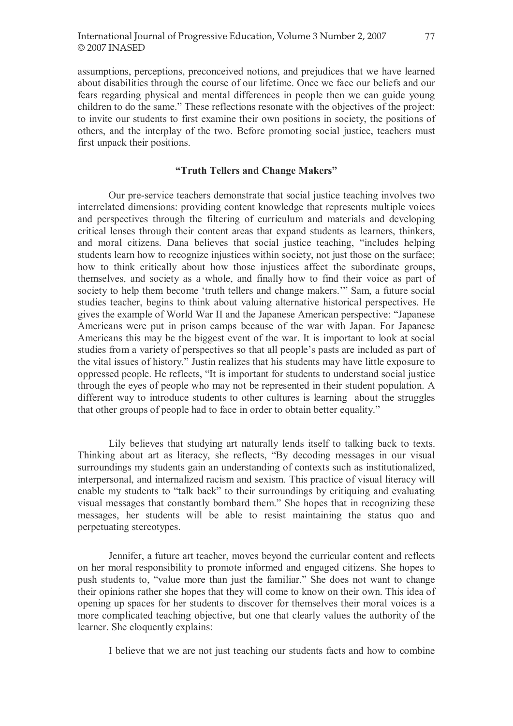assumptions, perceptions, preconceived notions, and prejudices that we have learned about disabilities through the course of our lifetime. Once we face our beliefs and our fears regarding physical and mental differences in people then we can guide young children to do the same." These reflections resonate with the objectives of the project: to invite our students to first examine their own positions in society, the positions of others, and the interplay of the two. Before promoting social justice, teachers must first unpack their positions.

## "Truth Tellers and Change Makers"

Our pre-service teachers demonstrate that social justice teaching involves two interrelated dimensions: providing content knowledge that represents multiple voices and perspectives through the filtering of curriculum and materials and developing critical lenses through their content areas that expand students as learners, thinkers, and moral citizens. Dana believes that social justice teaching, "includes helping students learn how to recognize injustices within society, not just those on the surface; how to think critically about how those injustices affect the subordinate groups, themselves, and society as a whole, and finally how to find their voice as part of society to help them become 'truth tellers and change makers.'" Sam, a future social studies teacher, begins to think about valuing alternative historical perspectives. He gives the example of World War II and the Japanese American perspective: "Japanese" Americans were put in prison camps because of the war with Japan. For Japanese Americans this may be the biggest event of the war. It is important to look at social studies from a variety of perspectives so that all people's pasts are included as part of the vital issues of history.´ Justin realizes that his students may have little exposure to oppressed people. He reflects, "It is important for students to understand social justice through the eyes of people who may not be represented in their student population. A different way to introduce students to other cultures is learning about the struggles that other groups of people had to face in order to obtain better equality.´

Lily believes that studying art naturally lends itself to talking back to texts. Thinking about art as literacy, she reflects, "By decoding messages in our visual surroundings my students gain an understanding of contexts such as institutionalized, interpersonal, and internalized racism and sexism. This practice of visual literacy will enable my students to "talk back" to their surroundings by critiquing and evaluating visual messages that constantly bombard them." She hopes that in recognizing these messages, her students will be able to resist maintaining the status quo and perpetuating stereotypes.

Jennifer, a future art teacher, moves beyond the curricular content and reflects on her moral responsibility to promote informed and engaged citizens. She hopes to push students to, "value more than just the familiar." She does not want to change their opinions rather she hopes that they will come to know on their own. This idea of opening up spaces for her students to discover for themselves their moral voices is a more complicated teaching objective, but one that clearly values the authority of the learner. She eloquently explains:

I believe that we are not just teaching our students facts and how to combine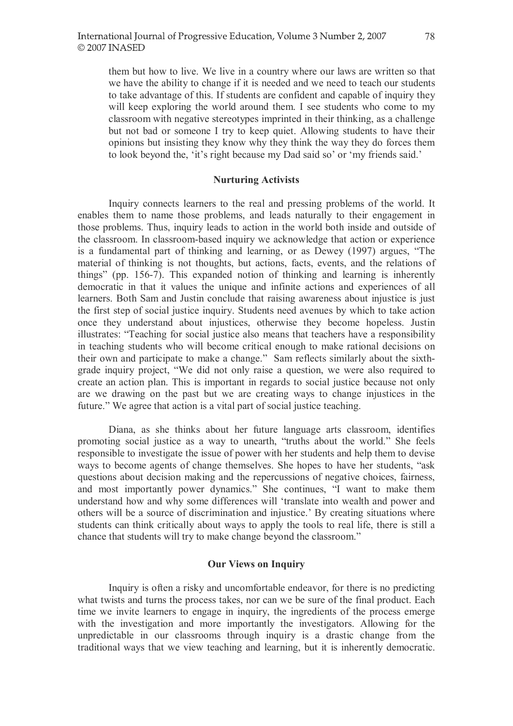them but how to live. We live in a country where our laws are written so that we have the ability to change if it is needed and we need to teach our students to take advantage of this. If students are confident and capable of inquiry they will keep exploring the world around them. I see students who come to my classroom with negative stereotypes imprinted in their thinking, as a challenge but not bad or someone I try to keep quiet. Allowing students to have their opinions but insisting they know why they think the way they do forces them to look beyond the, 'it's right because my Dad said so' or 'my friends said.'

### Nurturing Activists

Inquiry connects learners to the real and pressing problems of the world. It enables them to name those problems, and leads naturally to their engagement in those problems. Thus, inquiry leads to action in the world both inside and outside of the classroom. In classroom-based inquiry we acknowledge that action or experience is a fundamental part of thinking and learning, or as Dewey (1997) argues, "The material of thinking is not thoughts, but actions, facts, events, and the relations of things´ (pp. 156-7). This expanded notion of thinking and learning is inherently democratic in that it values the unique and infinite actions and experiences of all learners. Both Sam and Justin conclude that raising awareness about injustice is just the first step of social justice inquiry. Students need avenues by which to take action once they understand about injustices, otherwise they become hopeless. Justin illustrates: "Teaching for social justice also means that teachers have a responsibility in teaching students who will become critical enough to make rational decisions on their own and participate to make a change." Sam reflects similarly about the sixthgrade inquiry project, "We did not only raise a question, we were also required to create an action plan. This is important in regards to social justice because not only are we drawing on the past but we are creating ways to change injustices in the future." We agree that action is a vital part of social justice teaching.

Diana, as she thinks about her future language arts classroom, identifies promoting social justice as a way to unearth, "truths about the world." She feels responsible to investigate the issue of power with her students and help them to devise ways to become agents of change themselves. She hopes to have her students, "ask" questions about decision making and the repercussions of negative choices, fairness, and most importantly power dynamics." She continues, "I want to make them understand how and why some differences will 'translate into wealth and power and others will be a source of discrimination and injustice.' By creating situations where students can think critically about ways to apply the tools to real life, there is still a chance that students will try to make change beyond the classroom.´

## Our Views on Inquiry

Inquiry is often a risky and uncomfortable endeavor, for there is no predicting what twists and turns the process takes, nor can we be sure of the final product. Each time we invite learners to engage in inquiry, the ingredients of the process emerge with the investigation and more importantly the investigators. Allowing for the unpredictable in our classrooms through inquiry is a drastic change from the traditional ways that we view teaching and learning, but it is inherently democratic.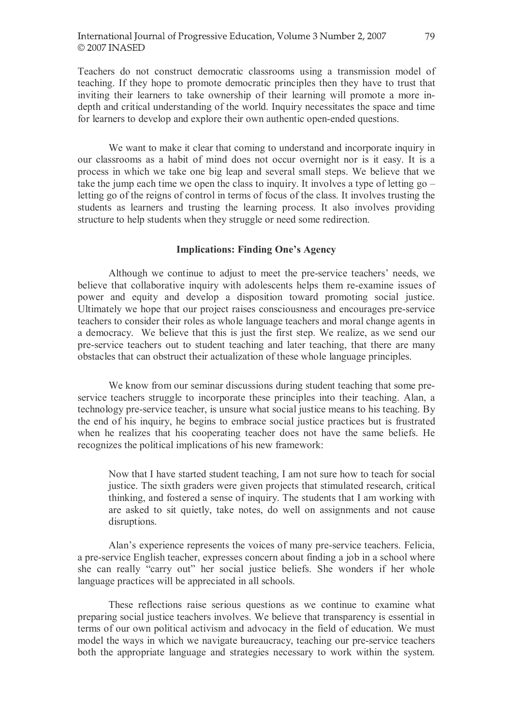Teachers do not construct democratic classrooms using a transmission model of teaching. If they hope to promote democratic principles then they have to trust that inviting their learners to take ownership of their learning will promote a more indepth and critical understanding of the world. Inquiry necessitates the space and time for learners to develop and explore their own authentic open-ended questions.

We want to make it clear that coming to understand and incorporate inquiry in our classrooms as a habit of mind does not occur overnight nor is it easy. It is a process in which we take one big leap and several small steps. We believe that we take the jump each time we open the class to inquiry. It involves a type of letting  $\gamma$ letting go of the reigns of control in terms of focus of the class. It involves trusting the students as learners and trusting the learning process. It also involves providing structure to help students when they struggle or need some redirection.

## Implications: Finding One's Agency

Although we continue to adjust to meet the pre-service teachers' needs, we believe that collaborative inquiry with adolescents helps them re-examine issues of power and equity and develop a disposition toward promoting social justice. Ultimately we hope that our project raises consciousness and encourages pre-service teachers to consider their roles as whole language teachers and moral change agents in a democracy. We believe that this is just the first step. We realize, as we send our pre-service teachers out to student teaching and later teaching, that there are many obstacles that can obstruct their actualization of these whole language principles.

We know from our seminar discussions during student teaching that some preservice teachers struggle to incorporate these principles into their teaching. Alan, a technology pre-service teacher, is unsure what social justice means to his teaching. By the end of his inquiry, he begins to embrace social justice practices but is frustrated when he realizes that his cooperating teacher does not have the same beliefs. He recognizes the political implications of his new framework:

Now that I have started student teaching, I am not sure how to teach for social justice. The sixth graders were given projects that stimulated research, critical thinking, and fostered a sense of inquiry. The students that I am working with are asked to sit quietly, take notes, do well on assignments and not cause disruptions.

Alan's experience represents the voices of many pre-service teachers. Felicia, a pre-service English teacher, expresses concern about finding a job in a school where she can really "carry out" her social justice beliefs. She wonders if her whole language practices will be appreciated in all schools.

These reflections raise serious questions as we continue to examine what preparing social justice teachers involves. We believe that transparency is essential in terms of our own political activism and advocacy in the field of education. We must model the ways in which we navigate bureaucracy, teaching our pre-service teachers both the appropriate language and strategies necessary to work within the system.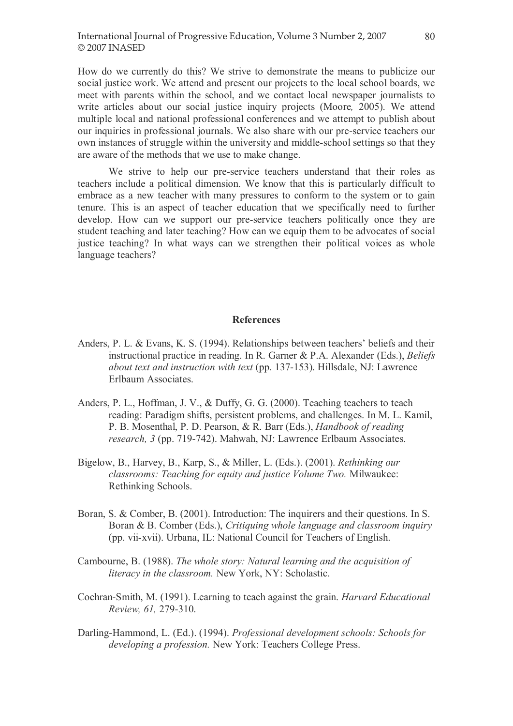How do we currently do this? We strive to demonstrate the means to publicize our social justice work. We attend and present our projects to the local school boards, we meet with parents within the school, and we contact local newspaper journalists to write articles about our social justice inquiry projects (Moore, 2005). We attend multiple local and national professional conferences and we attempt to publish about our inquiries in professional journals. We also share with our pre-service teachers our own instances of struggle within the university and middle-school settings so that they are aware of the methods that we use to make change.

We strive to help our pre-service teachers understand that their roles as teachers include a political dimension. We know that this is particularly difficult to embrace as a new teacher with many pressures to conform to the system or to gain tenure. This is an aspect of teacher education that we specifically need to further develop. How can we support our pre-service teachers politically once they are student teaching and later teaching? How can we equip them to be advocates of social justice teaching? In what ways can we strengthen their political voices as whole language teachers?

#### **References**

- Anders, P. L. & Evans, K. S. (1994). Relationships between teachers' beliefs and their instructional practice in reading. In R. Garner & P.A. Alexander (Eds.), Beliefs about text and instruction with text (pp. 137-153). Hillsdale, NJ: Lawrence Erlbaum Associates.
- Anders, P. L., Hoffman, J. V., & Duffy, G. G. (2000). Teaching teachers to teach reading: Paradigm shifts, persistent problems, and challenges. In M. L. Kamil, P. B. Mosenthal, P. D. Pearson, & R. Barr (Eds.), Handbook of reading research, 3 (pp. 719-742). Mahwah, NJ: Lawrence Erlbaum Associates.
- Bigelow, B., Harvey, B., Karp, S., & Miller, L. (Eds.). (2001). Rethinking our classrooms: Teaching for equity and justice Volume Two. Milwaukee: Rethinking Schools.
- Boran, S. & Comber, B. (2001). Introduction: The inquirers and their questions. In S. Boran & B. Comber (Eds.), Critiquing whole language and classroom inquiry (pp. vii-xvii). Urbana, IL: National Council for Teachers of English.
- Cambourne, B. (1988). The whole story: Natural learning and the acquisition of literacy in the classroom. New York, NY: Scholastic.
- Cochran-Smith, M. (1991). Learning to teach against the grain. Harvard Educational Review, 61, 279-310.
- Darling-Hammond, L. (Ed.). (1994). Professional development schools: Schools for developing a profession. New York: Teachers College Press.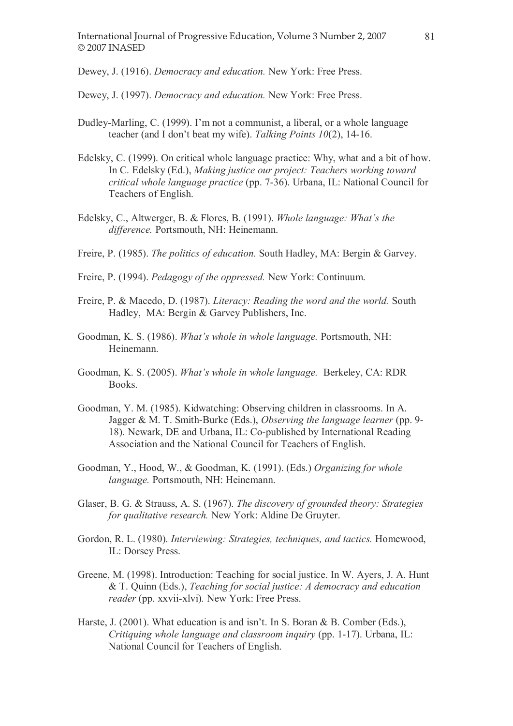Dewey, J. (1916). Democracy and education. New York: Free Press.

Dewey, J. (1997). Democracy and education. New York: Free Press.

- Dudley-Marling, C. (1999). I'm not a communist, a liberal, or a whole language teacher (and I don't beat my wife). Talking Points  $10(2)$ , 14-16.
- Edelsky, C. (1999). On critical whole language practice: Why, what and a bit of how. In C. Edelsky (Ed.), Making justice our project: Teachers working toward critical whole language practice (pp. 7-36). Urbana, IL: National Council for Teachers of English.
- Edelsky, C., Altwerger, B. & Flores, B. (1991). Whole language: What's the difference. Portsmouth, NH: Heinemann.
- Freire, P. (1985). The politics of education. South Hadley, MA: Bergin & Garvey.
- Freire, P. (1994). Pedagogy of the oppressed. New York: Continuum.
- Freire, P. & Macedo, D. (1987). Literacy: Reading the word and the world. South Hadley, MA: Bergin & Garvey Publishers, Inc.
- Goodman, K. S. (1986). What's whole in whole language. Portsmouth, NH: Heinemann.
- Goodman, K. S. (2005). *What's whole in whole language.* Berkeley, CA: RDR Books.
- Goodman, Y. M. (1985). Kidwatching: Observing children in classrooms. In A. Jagger & M. T. Smith-Burke (Eds.), Observing the language learner (pp. 9- 18). Newark, DE and Urbana, IL: Co-published by International Reading Association and the National Council for Teachers of English.
- Goodman, Y., Hood, W., & Goodman, K. (1991). (Eds.) Organizing for whole language. Portsmouth, NH: Heinemann.
- Glaser, B. G. & Strauss, A. S. (1967). The discovery of grounded theory: Strategies for qualitative research. New York: Aldine De Gruyter.
- Gordon, R. L. (1980). Interviewing: Strategies, techniques, and tactics. Homewood, IL: Dorsey Press.
- Greene, M. (1998). Introduction: Teaching for social justice. In W. Ayers, J. A. Hunt & T. Quinn (Eds.), Teaching for social justice: A democracy and education reader (pp. xxvii-xlvi). New York: Free Press.
- Harste, J. (2001). What education is and isn't. In S. Boran & B. Comber (Eds.), Critiquing whole language and classroom inquiry (pp. 1-17). Urbana, IL: National Council for Teachers of English.